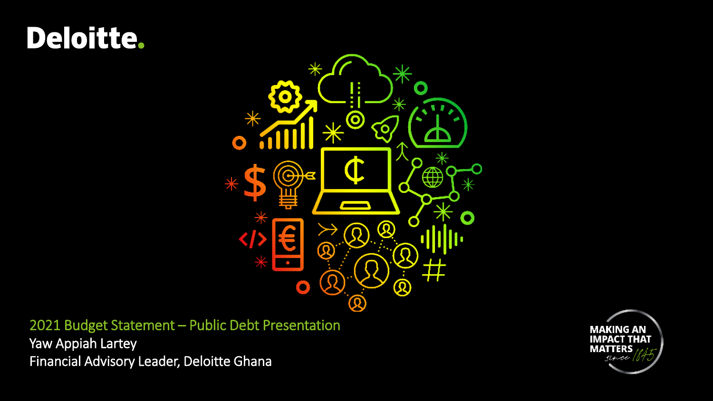# Deloitte.



2021 Budget Statement – Public Debt Presentation Yaw Appiah Lartey Financial Advisory Leader, Deloitte Ghana

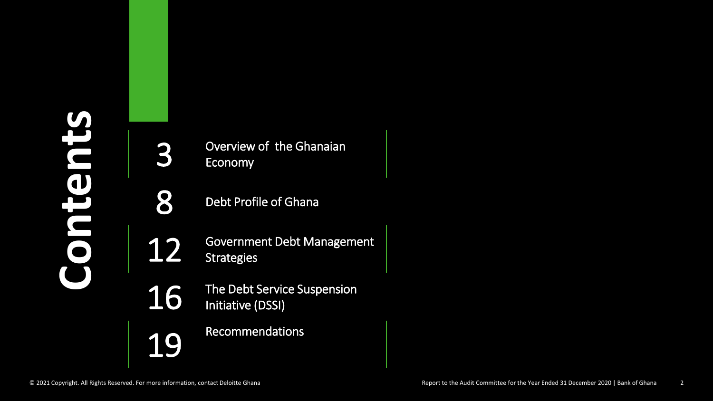Overview of the Ghanaian Economy

8 Debt Profile of Ghana

12 Government Debt Management **Strategies** 

16 The Debt Service Suspension<br>Initiative (DSSI) Initiative (DSSI)

19 Recommendations

3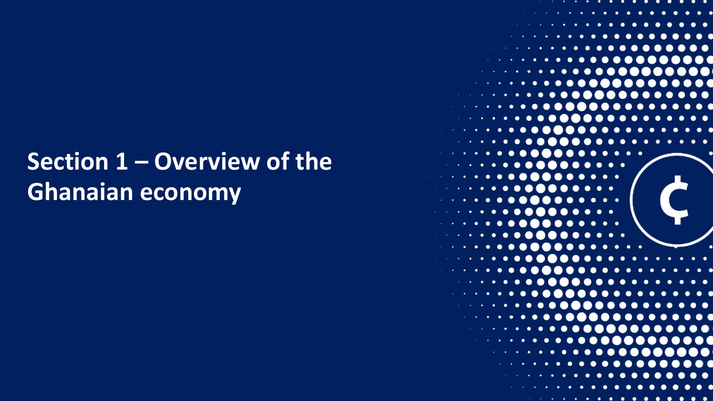## **Section 1 – Overview of the Ghanaian economy**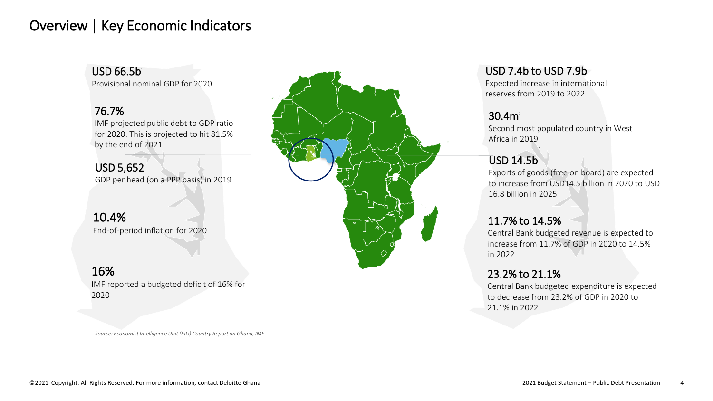#### Overview | Key Economic Indicators

USD 66.5b 1

Provisional nominal GDP for 2020

#### 76.7%

IMF projected public debt to GDP ratio for 2020. This is projected to hit 81.5% by the end of 2021

USD 5,652 GDP per head (on a PPP basis) in 2019

#### 10.4% End-of-period inflation for 2020

#### 16%

IMF reported a budgeted deficit of 16% for 2020

*Source: Economist Intelligence Unit (EIU) Country Report on Ghana, IMF* 



#### USD 7.4b to USD 7.9b

1

Expected increase in international reserves from 2019 to 2022

#### $30.4m<sup>1</sup>$

Second most populated country in West Africa in 2019

#### USD 14.5b

Exports of goods (free on board) are expected to increase from USD14.5 billion in 2020 to USD 16.8 billion in 2025

#### 11.7% to 14.5%

Central Bank budgeted revenue is expected to increase from 11.7% of GDP in 2020 to 14.5% in 2022

#### 23.2% to 21.1%

Central Bank budgeted expenditure is expected to decrease from 23.2% of GDP in 2020 to 21.1% in 2022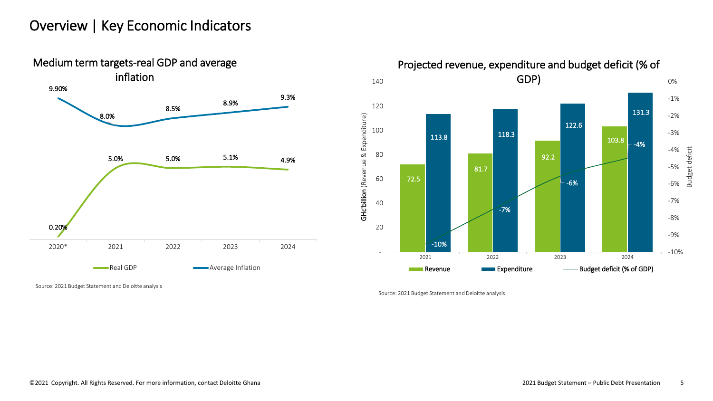#### Overview | Key Economic Indicators





Source: 2021 Budget Statement and Deloitte analysis

Source: 2021 Budget Statement and Deloitte analysis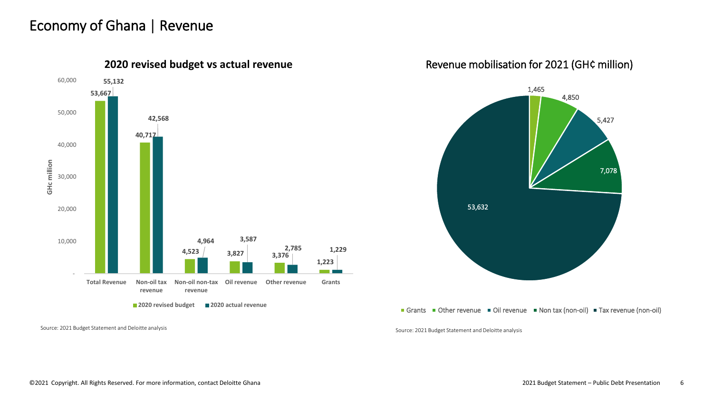#### Economy of Ghana | Revenue



**2020 revised budget 2020 actual revenue**

Source: 2021 Budget Statement and Deloitte analysis Source: 2021 Budget Statement and Deloitte analysis

#### Revenue mobilisation for 2021 (GH¢ million)



#### Grants Other revenue Oil revenue Non tax (non-oil) Tax revenue (non-oil)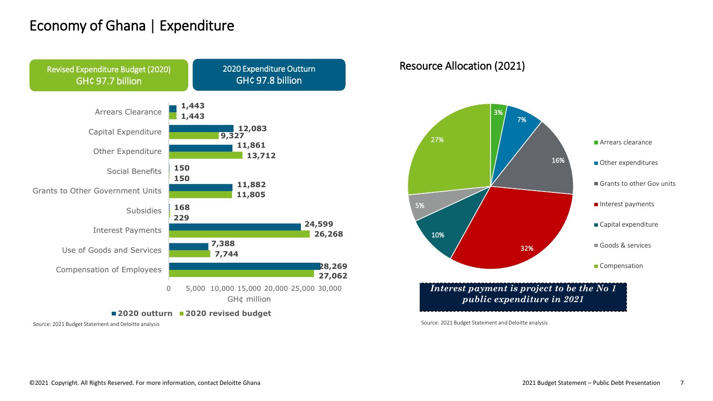#### Economy of Ghana | Expenditure



**2020 outturn 2020 revised budget**

Source: 2021 Budget Statement and Deloitte analysis

Resource Allocation (2021)



*Interest payment is project to be the No 1 public expenditure in 2021*

Source: 2021 Budget Statement and Deloitte analysis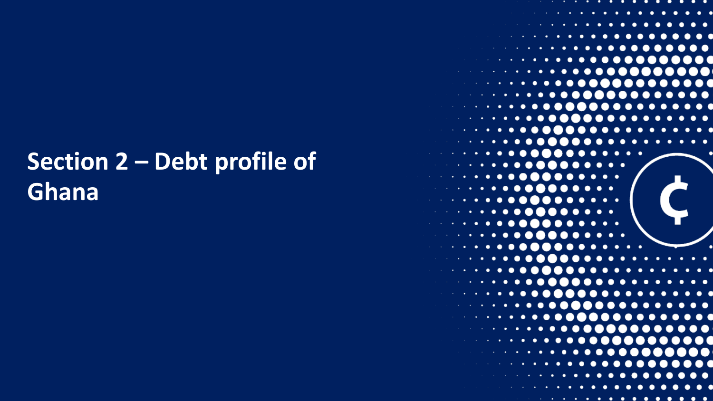# **Section 2 – Debt profile of Ghana**

| and the control of the control of<br>٠<br>٠<br>٠<br>٠                                                                                                                                                                                                                                          |
|------------------------------------------------------------------------------------------------------------------------------------------------------------------------------------------------------------------------------------------------------------------------------------------------|
| . <b>.</b><br><b>CO</b><br>$\cdots$<br>the second control with the                                                                                                                                                                                                                             |
| . <b>.</b><br>$\bullet$                                                                                                                                                                                                                                                                        |
| .                                                                                                                                                                                                                                                                                              |
| control of the state<br>$\mathbf{X}$                                                                                                                                                                                                                                                           |
| <b>Second Contract Contract of Contract Contract Contract Contract Contract Contract Contract Contract Contract Contract Contract Contract Contract Contract Contract Contract Contract Contract Contract Contract Contract Cont</b><br>$\bullet$ .<br>۰<br>$\bullet\bullet$<br>$\blacksquare$ |
| <b>Service Control Control</b><br>$\cdots$<br>$\bullet$ $\bullet$ $\bullet$ $\bullet$                                                                                                                                                                                                          |
| $\bullet$ .<br>٠<br>$\bullet$<br>$\bullet$<br>the control of the control of the<br>٠<br>$\bullet$<br>$\hspace{0.1mm} \cdots \hspace{0.1mm}$<br>$\bullet$                                                                                                                                       |
| ٠<br>$\overline{\mathbf{C}}$<br>. .<br>.                                                                                                                                                                                                                                                       |
| <b>Contractor</b><br>$\bullet$                                                                                                                                                                                                                                                                 |
| $\bullet$<br>$\ddot{\phantom{a}}$<br>- -<br>٠.<br>$\bullet$<br>. .<br>$\bullet$ .                                                                                                                                                                                                              |
| ٠<br><b>Contract</b><br>٠                                                                                                                                                                                                                                                                      |
|                                                                                                                                                                                                                                                                                                |
| $\cdots$<br>. .<br><b>Contract Contract</b><br>- 0                                                                                                                                                                                                                                             |
|                                                                                                                                                                                                                                                                                                |
| $\cdot$                                                                                                                                                                                                                                                                                        |
|                                                                                                                                                                                                                                                                                                |
| . .<br>. .<br>$\cdots$<br>$\bullet\,\bullet$<br>$\cdot$                                                                                                                                                                                                                                        |
|                                                                                                                                                                                                                                                                                                |
| - 0<br>$\cdot$                                                                                                                                                                                                                                                                                 |
| <b>Contract Contract</b>                                                                                                                                                                                                                                                                       |
|                                                                                                                                                                                                                                                                                                |
| <b>Contract Contract</b>                                                                                                                                                                                                                                                                       |
| ٠                                                                                                                                                                                                                                                                                              |
| and the contract of the<br>٠<br>$\bullet$<br>٠                                                                                                                                                                                                                                                 |
| contract and service                                                                                                                                                                                                                                                                           |
| the control of the co-                                                                                                                                                                                                                                                                         |
| Х<br>and the control of the                                                                                                                                                                                                                                                                    |
| $\bullet$<br><b>CALL ALCOHOL: NO</b><br>٠<br>0000                                                                                                                                                                                                                                              |
|                                                                                                                                                                                                                                                                                                |
|                                                                                                                                                                                                                                                                                                |
|                                                                                                                                                                                                                                                                                                |
|                                                                                                                                                                                                                                                                                                |
|                                                                                                                                                                                                                                                                                                |
|                                                                                                                                                                                                                                                                                                |
|                                                                                                                                                                                                                                                                                                |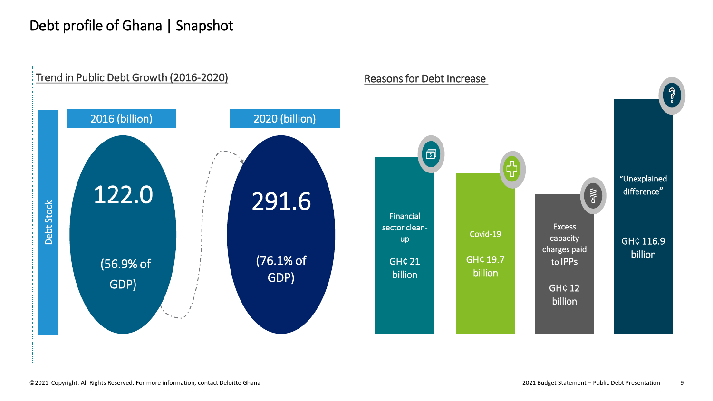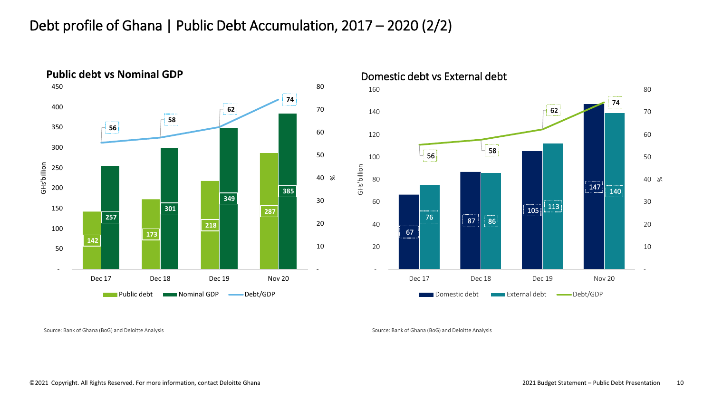#### Debt profile of Ghana | Public Debt Accumulation, 2017 – 2020 (2/2)



Source: Bank of Ghana (BoG) and Deloitte Analysis Source: Bank of Ghana (BoG) and Deloitte Analysis Source: Bank of Ghana (BoG) and Deloitte Analysis

-

[%](#page-21-0)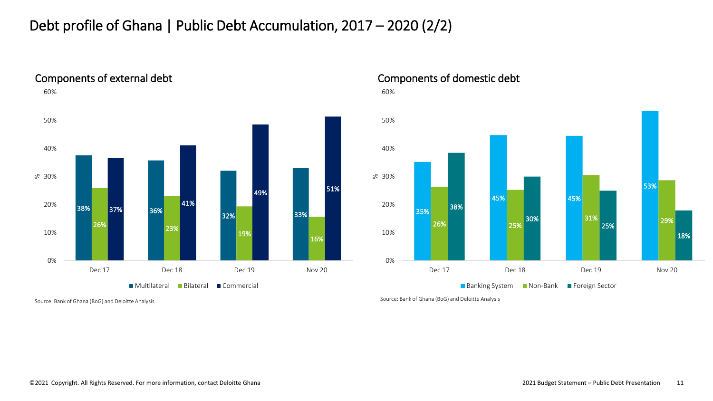#### Debt profile of Ghana | Public Debt Accumulation, 2017 – 2020 (2/2)



Components of domestic debt

60%



Source: Bank of Ghana (BoG) and Deloitte Analysis Source: Bank of Ghana (BoG) and Deloitte Analysis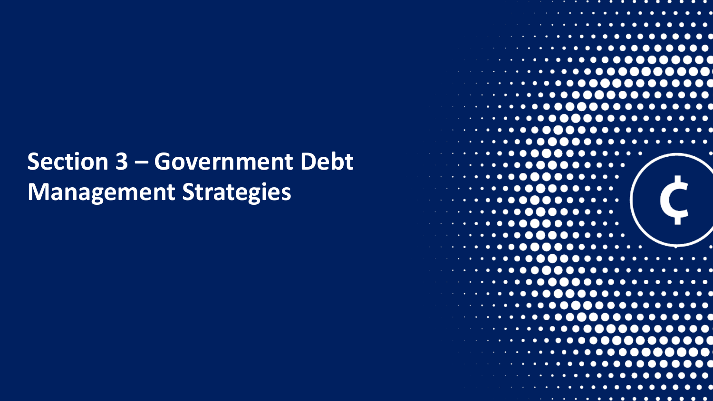## **Section 3 – Government Debt Management Strategies**

| - 1<br>contract the contract of the state                                |
|--------------------------------------------------------------------------|
| .<br>.<br>the control of the control of the state                        |
| ٠                                                                        |
| ٠                                                                        |
|                                                                          |
| $\cdots$<br>$\bullet$                                                    |
|                                                                          |
|                                                                          |
| ٠<br>$\bullet$<br>$\bullet\;\bullet$                                     |
|                                                                          |
| ٠                                                                        |
|                                                                          |
| ٠                                                                        |
| c                                                                        |
|                                                                          |
|                                                                          |
|                                                                          |
|                                                                          |
|                                                                          |
|                                                                          |
|                                                                          |
|                                                                          |
| . .<br><b>Contract Contract</b>                                          |
|                                                                          |
|                                                                          |
|                                                                          |
| the contract of the                                                      |
| $\sim 10^{11}$ km $^{-1}$                                                |
| and the state of the                                                     |
| contract and state                                                       |
| $\bullet$<br>the company's<br>$\overline{\phantom{0}}$<br>$\blacksquare$ |
|                                                                          |
|                                                                          |
|                                                                          |
|                                                                          |
|                                                                          |
| .                                                                        |
|                                                                          |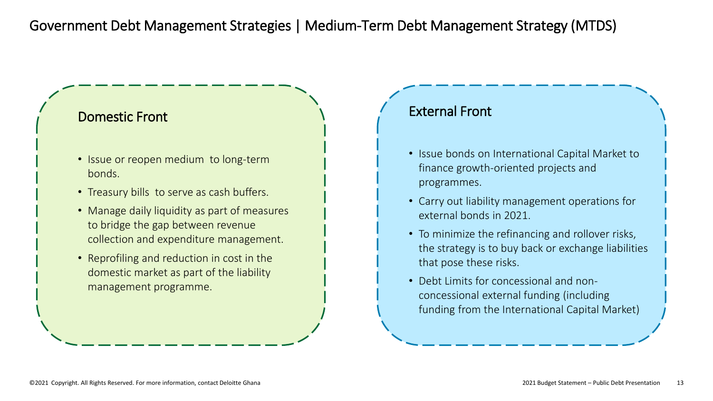#### Domestic Front

- Issue or reopen medium to long-term bonds.
- Treasury bills to serve as cash buffers.
- Manage daily liquidity as part of measures to bridge the gap between revenue collection and expenditure management.
- Reprofiling and reduction in cost in the domestic market as part of the liability management programme.

#### External Front

- Issue bonds on International Capital Market to finance growth-oriented projects and programmes.
- Carry out liability management operations for external bonds in 2021.
- To minimize the refinancing and rollover risks, the strategy is to buy back or exchange liabilities that pose these risks.
- Debt Limits for concessional and nonconcessional external funding (including funding from the International Capital Market)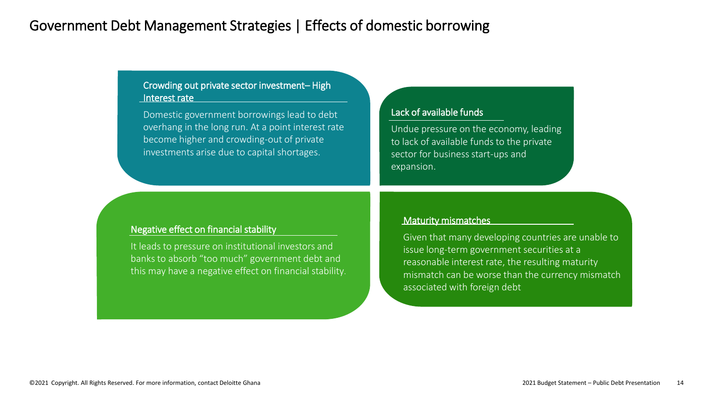#### Government Debt Management Strategies | Effects of domestic borrowing

#### Crowding out private sector investment– High Interest rate

Domestic government borrowings lead to debt overhang in the long run. At a point interest rate become higher and crowding-out of private investments arise due to capital shortages.

#### Lack of available funds

Undue pressure on the economy, leading to lack of available funds to the private sector for business start-ups and expansion.

#### Negative effect on financial stability

It leads to pressure on institutional investors and banks to absorb "too much" government debt and this may have a negative effect on financial stability.

#### Maturity mismatches

Given that many developing countries are unable to issue long-term government securities at a reasonable interest rate, the resulting maturity mismatch can be worse than the currency mismatch associated with foreign debt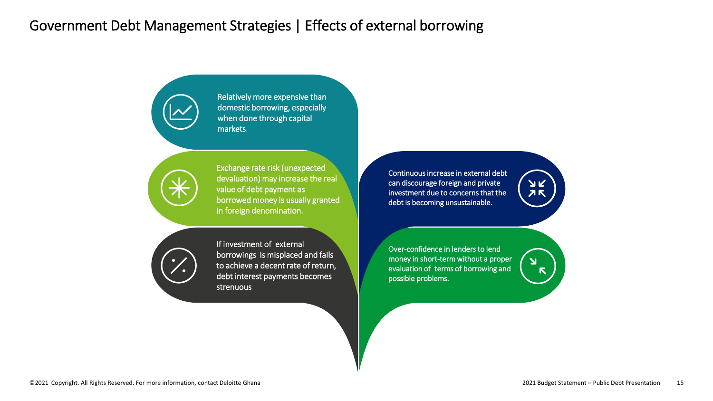#### Government Debt Management Strategies | Effects of external borrowing

Relatively more expensive than domestic borrowing, especially when done through capital markets.



Exchange rate risk (unexpected devaluation) may increase the real value of debt payment as borrowed money is usually granted in foreign denomination.

If investment of external borrowings is misplaced and fails to achieve a decent rate of return, debt interest payments becomes strenuous

Continuous increase in external debt can discourage foreign and private investment due to concerns that the debt is becoming unsustainable.



 $\overline{\mathbf{Y}}$  $\blacksquare$ 

Over-confidence in lenders to lend money in short-term without a proper evaluation of terms of borrowing and possible problems.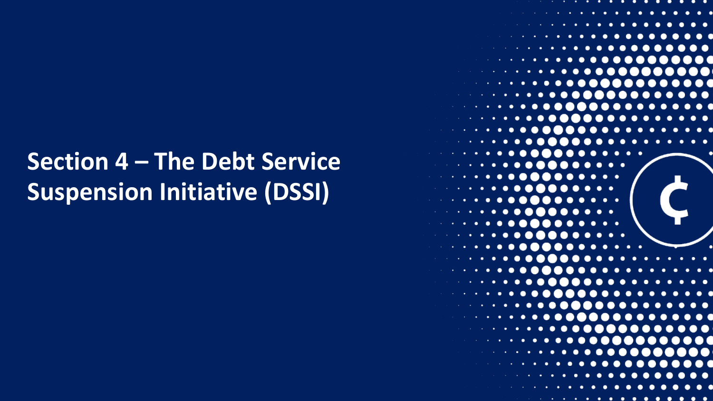# **Section 4 – The Debt Service Suspension Initiative (DSSI)**

. .  $\bullet\bullet$  $\bullet\bullet$  $\bullet\quadbullet$  $\bullet\bullet$  $\bullet\hspace{0.4mm}\bullet\hspace{0.4mm}$  $\bullet\bullet$  $\bullet\bullet$  $\bullet$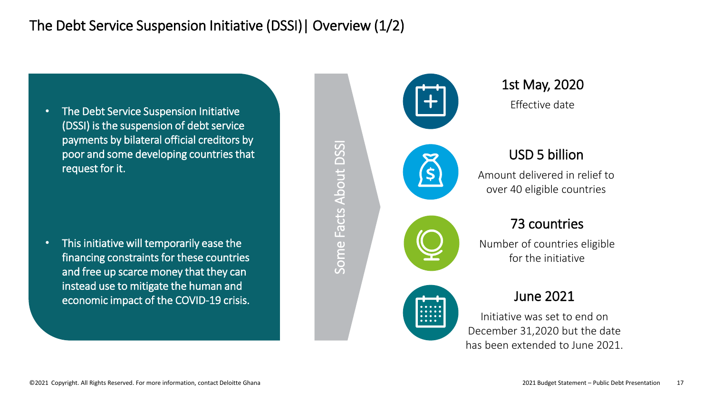#### The Debt Service Suspension Initiative (DSSI)| Overview (1/2)

• The Debt Service Suspension Initiative (DSSI) is the suspension of debt service payments by bilateral official creditors by poor and some developing countries that request for it.

• This initiative will temporarily ease the financing constraints for these countries and free up scarce money that they can instead use to mitigate the human and economic impact of the COVID-19 crisis.



Some Facts About DSSISome Facts About DSS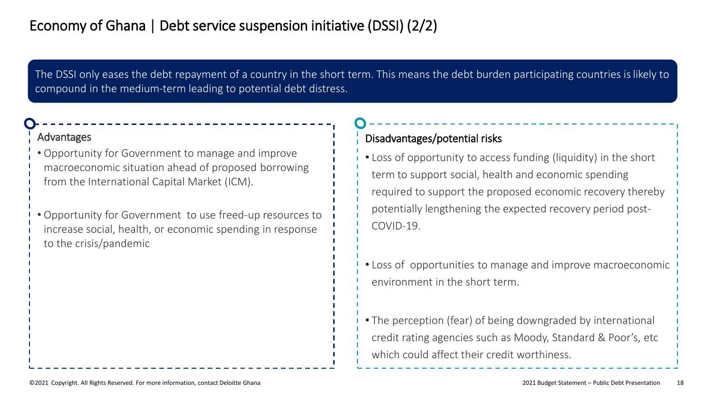The DSSI only eases the debt repayment of a country in the short term. This means the debt burden participating countries is likely to compound in the medium-term leading to potential debt distress.

#### Advantages

- Opportunity for Government to manage and improve macroeconomic situation ahead of proposed borrowing from the International Capital Market (ICM).
- Opportunity for Government to use freed-up resources to increase social, health, or economic spending in response to the crisis/pandemic

#### Disadvantages/potential risks

- Loss of opportunity to access funding (liquidity) in the short term to support social, health and economic spending required to support the proposed economic recovery thereb[y](#page-21-0)  potentially lengthening the expected recovery period post-COVID-19.
- Loss of opportunities to manage and improve macroeconomic environment in the short term.
- The perception (fear) of being downgraded by international credit rating agencies such as Moody, Standard & Poor's, etc which could affect their credit worthiness.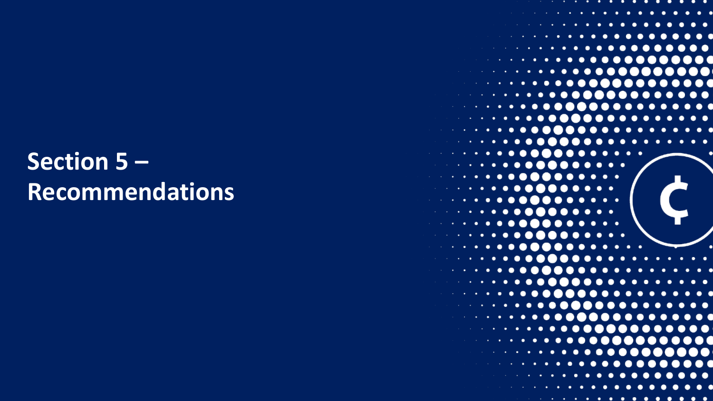## **Section 5 – Recommendations**

| . <b>.</b><br>$\bullet$<br>$\bullet$<br>$\bullet\;\; \bullet$<br>$\bullet$                                                                                                                                                                                                                                                                                                                                                                                                                                      |
|-----------------------------------------------------------------------------------------------------------------------------------------------------------------------------------------------------------------------------------------------------------------------------------------------------------------------------------------------------------------------------------------------------------------------------------------------------------------------------------------------------------------|
| ٠<br>٠<br>control of the control of the<br>٠                                                                                                                                                                                                                                                                                                                                                                                                                                                                    |
| ٠<br><b>Contract Contract Advised Association</b><br>٠<br>$\bullet$<br>$\bullet$<br>$\bullet\hspace{0.4mm}\bullet\hspace{0.4mm}$                                                                                                                                                                                                                                                                                                                                                                                |
| . <b>.</b><br>$\cdot$                                                                                                                                                                                                                                                                                                                                                                                                                                                                                           |
| ٠<br>٠<br>control of the state of                                                                                                                                                                                                                                                                                                                                                                                                                                                                               |
| Л<br>٠                                                                                                                                                                                                                                                                                                                                                                                                                                                                                                          |
| . <b>.</b> .<br>$\bullet$<br>O<br>$\bullet$<br>$\bullet$<br>$\cdot$                                                                                                                                                                                                                                                                                                                                                                                                                                             |
| $\mathbf{I}$                                                                                                                                                                                                                                                                                                                                                                                                                                                                                                    |
| ٠<br>$\bullet$                                                                                                                                                                                                                                                                                                                                                                                                                                                                                                  |
| $\cdots$<br>$\bullet$ .<br>-0<br>$\bullet$<br>×.                                                                                                                                                                                                                                                                                                                                                                                                                                                                |
| $\cdots$<br>$\bullet$                                                                                                                                                                                                                                                                                                                                                                                                                                                                                           |
| ٠<br>. .                                                                                                                                                                                                                                                                                                                                                                                                                                                                                                        |
| ٠<br><b>CALL ALC</b><br>٠                                                                                                                                                                                                                                                                                                                                                                                                                                                                                       |
| ٠                                                                                                                                                                                                                                                                                                                                                                                                                                                                                                               |
| .<br><b>Contract</b><br><b>Contract Advise</b><br>٠                                                                                                                                                                                                                                                                                                                                                                                                                                                             |
|                                                                                                                                                                                                                                                                                                                                                                                                                                                                                                                 |
| ٠<br>٠                                                                                                                                                                                                                                                                                                                                                                                                                                                                                                          |
|                                                                                                                                                                                                                                                                                                                                                                                                                                                                                                                 |
| <b>School Committee</b><br>٠<br>. .<br>$\bullet\bullet$                                                                                                                                                                                                                                                                                                                                                                                                                                                         |
|                                                                                                                                                                                                                                                                                                                                                                                                                                                                                                                 |
|                                                                                                                                                                                                                                                                                                                                                                                                                                                                                                                 |
| ٠                                                                                                                                                                                                                                                                                                                                                                                                                                                                                                               |
| $\cdots$<br><b>Contract Contract</b>                                                                                                                                                                                                                                                                                                                                                                                                                                                                            |
|                                                                                                                                                                                                                                                                                                                                                                                                                                                                                                                 |
| $\bullet$ $\bullet$<br>. .<br><b>Contract Contract</b><br>٠<br>$\cdot$ .                                                                                                                                                                                                                                                                                                                                                                                                                                        |
|                                                                                                                                                                                                                                                                                                                                                                                                                                                                                                                 |
| the company's<br>.<br>$\bullet$ $\bullet$ $\bullet$ $\bullet$<br>.<br><b>. .</b> .<br>$\bullet$<br>$\bullet$ $\bullet$                                                                                                                                                                                                                                                                                                                                                                                          |
| the contract of the                                                                                                                                                                                                                                                                                                                                                                                                                                                                                             |
| control of the co-<br>٠<br>٠<br>$\bullet$                                                                                                                                                                                                                                                                                                                                                                                                                                                                       |
| $\bullet$<br>the control of the control of<br>$\cdots$                                                                                                                                                                                                                                                                                                                                                                                                                                                          |
| ĸ.                                                                                                                                                                                                                                                                                                                                                                                                                                                                                                              |
| <b>Service Control of Control</b><br>. .<br>٠<br>$\bullet$<br>. .<br>$\bullet$                                                                                                                                                                                                                                                                                                                                                                                                                                  |
| $\begin{smallmatrix} \bullet\hspace{0.08cm}&\bullet\hspace{0.08cm}&\bullet\hspace{0.08cm}&\bullet\hspace{0.08cm}&\bullet\hspace{0.08cm}&\bullet\hspace{0.08cm}&\bullet\hspace{0.08cm}&\bullet\hspace{0.08cm}&\bullet\hspace{0.08cm}&\bullet\hspace{0.08cm}&\bullet\hspace{0.08cm}&\bullet\hspace{0.08cm}&\bullet\hspace{0.08cm}&\bullet\hspace{0.08cm}&\bullet\hspace{0.08cm}&\bullet\hspace{0.08cm}&\bullet\hspace{0.08cm}&\bullet\hspace{0.08$<br>$\bullet$<br>$\bullet$<br>٠<br>٠<br>$\sim 200$ km s $^{-1}$ |
|                                                                                                                                                                                                                                                                                                                                                                                                                                                                                                                 |
|                                                                                                                                                                                                                                                                                                                                                                                                                                                                                                                 |
|                                                                                                                                                                                                                                                                                                                                                                                                                                                                                                                 |
|                                                                                                                                                                                                                                                                                                                                                                                                                                                                                                                 |
| . <b>.</b> .                                                                                                                                                                                                                                                                                                                                                                                                                                                                                                    |

. . . .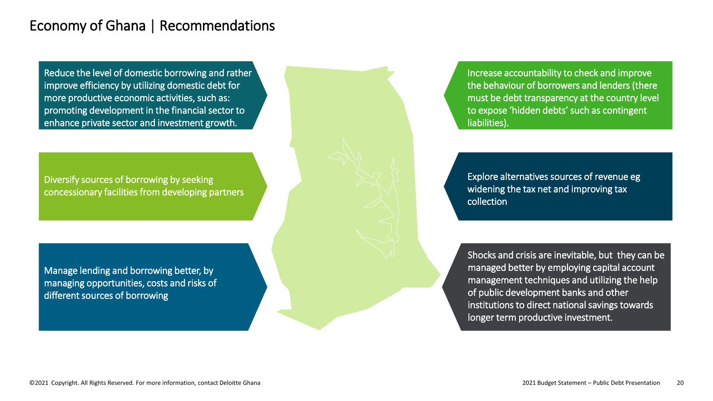#### Economy of Ghana | Recommendations

Reduce the level of domestic borrowing and rather improve efficiency by utilizing domestic debt for more productive economic activities, such as: promoting development in the financial sector to enhance private sector and investment growth.

Diversify sources of borrowing by seeking concessionary facilities from developing partners

Manage lending and borrowing better, by managing opportunities, costs and risks of different sources of borrowing

Increase accountability to check and improve the behaviour of borrowers and lenders (there must be debt transparency at the country level to expose 'hidden debts' such as contingent liabilities).

Explore alternatives sources of revenue eg widening the tax net and improving tax collection

Shocks and crisis are inevitable, but they can be managed better by employing capital account management techniques and utilizing the help of public development banks and other institutions to direct national savings towards longer term productive investment.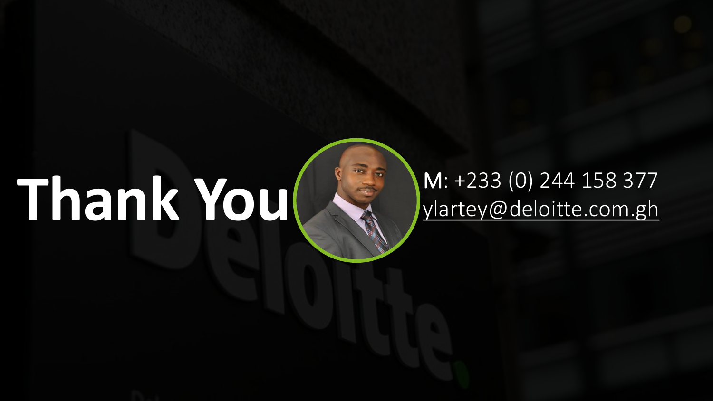# **Thank You M:** +233 (0) 244 158 377

# ylartey@deloitte.com.gh